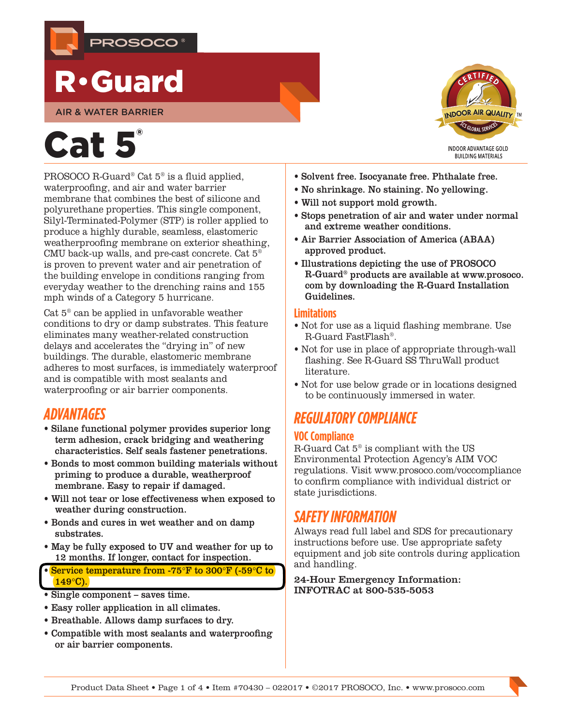

## R•Guard

AIR & WATER BARRIER

# Cat 5

PROSOCO R-Guard® Cat 5® is a fluid applied, waterproofing, and air and water barrier membrane that combines the best of silicone and polyurethane properties. This single component, Silyl-Terminated-Polymer (STP) is roller applied to produce a highly durable, seamless, elastomeric weatherproofing membrane on exterior sheathing, CMU back-up walls, and pre-cast concrete. Cat 5® is proven to prevent water and air penetration of the building envelope in conditions ranging from everyday weather to the drenching rains and 155 mph winds of a Category 5 hurricane.

Cat 5® can be applied in unfavorable weather conditions to dry or damp substrates. This feature eliminates many weather-related construction delays and accelerates the "drying in" of new buildings. The durable, elastomeric membrane adheres to most surfaces, is immediately waterproof and is compatible with most sealants and waterproofing or air barrier components.

## *ADVANTAGES*

- Silane functional polymer provides superior long term adhesion, crack bridging and weathering characteristics. Self seals fastener penetrations.
- Bonds to most common building materials without priming to produce a durable, weatherproof membrane. Easy to repair if damaged.
- Will not tear or lose effectiveness when exposed to weather during construction.
- Bonds and cures in wet weather and on damp substrates.
- May be fully exposed to UV and weather for up to 12 months. If longer, contact for inspection.

• Service temperature from -75°F to 300°F (-59°C to  $149^\circ$ C).

- Single component saves time.
- Easy roller application in all climates.
- Breathable. Allows damp surfaces to dry.
- Compatible with most sealants and waterproofing or air barrier components.



- Solvent free. Isocyanate free. Phthalate free.
- No shrinkage. No staining. No yellowing.
- Will not support mold growth.
- Stops penetration of air and water under normal and extreme weather conditions.
- Air Barrier Association of America (ABAA) approved product.
- Illustrations depicting the use of PROSOCO R-Guard® products are available at [www.prosoco.](http://www.prosoco.com) [com](http://www.prosoco.com) by downloading the [R-Guard Installation](http://www.prosoco.com/r-guard-installation-guidelines/)  [Guidelines.](http://www.prosoco.com/r-guard-installation-guidelines/)

#### **Limitations**

- Not for use as a liquid flashing membrane. Use R-Guard FastFlash®.
- Not for use in place of appropriate through-wall flashing. See R-Guard SS ThruWall product literature.
- Not for use below grade or in locations designed to be continuously immersed in water.

## *REGULATORY COMPLIANCE*

#### **VOC Compliance**

R-Guard Cat  $5^{\circ}$  is compliant with the US Environmental Protection Agency's AIM VOC regulations. Visit [www.prosoco.com/voccompliance](http://www.prosoco.com/voccompliance) to confirm compliance with individual district or state jurisdictions.

## *SAFETY INFORMATION*

Always read full label and SDS for precautionary instructions before use. Use appropriate safety equipment and job site controls during application and handling.

24-Hour Emergency Information: INFOTRAC at 800-535-5053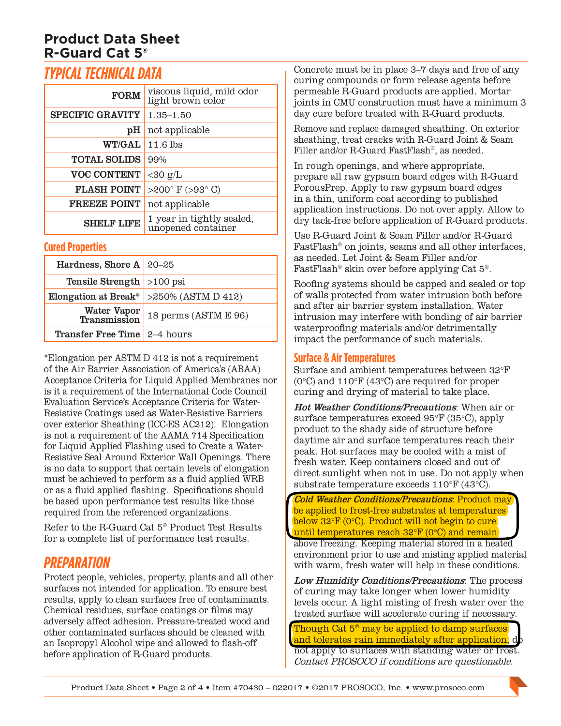## **Product Data Sheet R-Guard Cat 5®**

## *TYPICAL TECHNICAL DATA*

| <b>FORM</b>             | viscous liquid, mild odor<br>light brown color  |  |
|-------------------------|-------------------------------------------------|--|
| <b>SPECIFIC GRAVITY</b> | $1.35 - 1.50$                                   |  |
| pН                      | not applicable                                  |  |
| <b>WT/GAL</b>           | $11.6$ lbs                                      |  |
| <b>TOTAL SOLIDS</b>     | 99%                                             |  |
| <b>VOC CONTENT</b>      | $<$ 30 g/L                                      |  |
| <b>FLASH POINT</b>      | >200 $\degree$ F (>93 $\degree$ C)              |  |
| <b>FREEZE POINT</b>     | not applicable                                  |  |
| <b>SHELF LIFE</b>       | 1 year in tightly sealed,<br>unopened container |  |

#### **Cured Properties**

| Hardness, Shore A $20-25$           |                      |
|-------------------------------------|----------------------|
| <b>Tensile Strength</b> $>100$ psi  |                      |
| Elongation at Break*                | >250% (ASTM D 412)   |
| Water Vapor<br>Transmission         | 18 perms (ASTM E 96) |
| <b>Transfer Free Time</b> 2-4 hours |                      |

\*Elongation per ASTM D 412 is not a requirement of the Air Barrier Association of America's (ABAA) Acceptance Criteria for Liquid Applied Membranes nor is it a requirement of the International Code Council Evaluation Service's Acceptance Criteria for Water-Resistive Coatings used as Water-Resistive Barriers over exterior Sheathing (ICC-ES AC212). Elongation is not a requirement of the AAMA 714 Specification for Liquid Applied Flashing used to Create a Water-Resistive Seal Around Exterior Wall Openings. There is no data to support that certain levels of elongation must be achieved to perform as a fluid applied WRB or as a fluid applied flashing. Specifications should be based upon performance test results like those required from the referenced organizations.

Refer to the R-Guard Cat 5® Product Test Results for a complete list of performance test results.

## *PREPARATION*

Protect people, vehicles, property, plants and all other surfaces not intended for application. To ensure best results, apply to clean surfaces free of contaminants. Chemical residues, surface coatings or films may adversely affect adhesion. Pressure-treated wood and other contaminated surfaces should be cleaned with an Isopropyl Alcohol wipe and allowed to flash-off before application of R-Guard products.

Concrete must be in place 3–7 days and free of any curing compounds or form release agents before permeable R-Guard products are applied. Mortar joints in CMU construction must have a minimum 3 day cure before treated with R-Guard products.

Remove and replace damaged sheathing. On exterior sheathing, treat cracks with R-Guard Joint & Seam Filler and/or R-Guard FastFlash®, as needed.

In rough openings, and where appropriate, prepare all raw gypsum board edges with R-Guard PorousPrep. Apply to raw gypsum board edges in a thin, uniform coat according to published application instructions. Do not over apply. Allow to dry tack-free before application of R-Guard products.

Use R-Guard Joint & Seam Filler and/or R-Guard FastFlash® on joints, seams and all other interfaces, as needed. Let Joint & Seam Filler and/or FastFlash® skin over before applying Cat 5®.

Roofing systems should be capped and sealed or top of walls protected from water intrusion both before and after air barrier system installation. Water intrusion may interfere with bonding of air barrier waterproofing materials and/or detrimentally impact the performance of such materials.

#### **Surface & Air Temperatures**

Surface and ambient temperatures between 32°F (0°C) and 110°F (43°C) are required for proper curing and drying of material to take place.

Hot Weather Conditions/Precautions: When air or surface temperatures exceed 95°F (35°C), apply product to the shady side of structure before daytime air and surface temperatures reach their peak. Hot surfaces may be cooled with a mist of fresh water. Keep containers closed and out of direct sunlight when not in use. Do not apply when substrate temperature exceeds 110°F (43°C).

Cold Weather Conditions/Precautions: Product may be applied to frost-free substrates at temperatures below 32°F (0°C). Product will not begin to cure until temperatures reach 32°F (0°C) and remain

above freezing. Keeping material stored in a heated environment prior to use and misting applied material with warm, fresh water will help in these conditions.

Low Humidity Conditions/Precautions: The process of curing may take longer when lower humidity levels occur. A light misting of fresh water over the treated surface will accelerate curing if necessary.

Though Cat  $5^{\circ}$  may be applied to damp surfaces and tolerates rain immediately after application, not apply to surfaces with standing water or frost. Contact PROSOCO if conditions are questionable.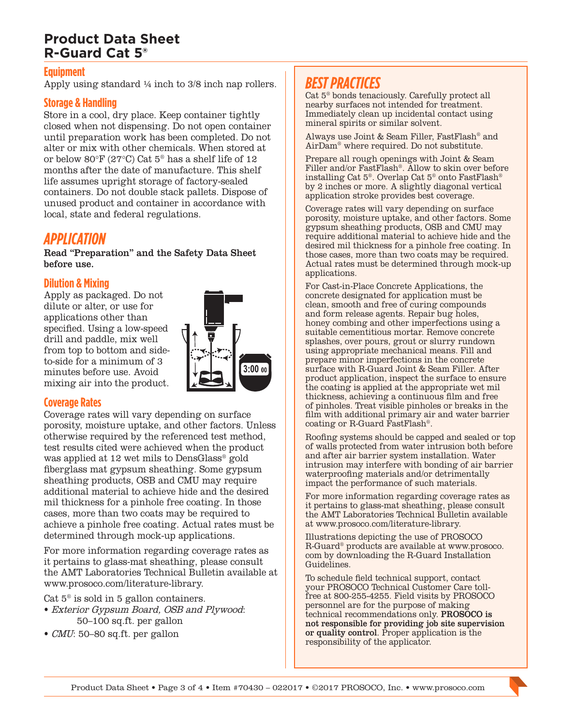## **Product Data Sheet R-Guard Cat 5®**

#### **Equipment**

Apply using standard ¼ inch to 3/8 inch nap rollers.

#### **Storage & Handling**

Store in a cool, dry place. Keep container tightly closed when not dispensing. Do not open container until preparation work has been completed. Do not alter or mix with other chemicals. When stored at or below 80°F (27°C) Cat 5® has a shelf life of 12 months after the date of manufacture. This shelf life assumes upright storage of factory-sealed containers. Do not double stack pallets. Dispose of unused product and container in accordance with local, state and federal regulations.

#### *APPLICATION*

Read "Preparation" and the Safety Data Sheet before use.

#### **Dilution & Mixing**

Apply as packaged. Do not dilute or alter, or use for applications other than specified. Using a low-speed drill and paddle, mix well from top to bottom and sideto-side for a minimum of 3 minutes before use. Avoid mixing air into the product.



#### **Coverage Rates**

Coverage rates will vary depending on surface porosity, moisture uptake, and other factors. Unless otherwise required by the referenced test method, test results cited were achieved when the product was applied at 12 wet mils to DensGlass® gold fiberglass mat gypsum sheathing. Some gypsum sheathing products, OSB and CMU may require additional material to achieve hide and the desired mil thickness for a pinhole free coating. In those cases, more than two coats may be required to achieve a pinhole free coating. Actual rates must be determined through mock-up applications.

For more information regarding coverage rates as it pertains to glass-mat sheathing, please consult the [AMT Laboratories Technical Bulletin](http://www.prosoco.com/media/2698/tech-note-coating-problems-caused-by-differences-in-glass-mat-sheathing-revised-04-2016.pdf) available at [www.prosoco.com/literature-library.](http://www.prosoco.com/literature-library/)

Cat  $5^\circ$  is sold in 5 gallon containers.

- Exterior Gypsum Board, OSB and Plywood: 50–100 sq.ft. per gallon
- CMU: 50–80 sq.ft. per gallon

## *BEST PRACTICES*

Cat 5® bonds tenaciously. Carefully protect all nearby surfaces not intended for treatment. Immediately clean up incidental contact using mineral spirits or similar solvent.

Always use Joint & Seam Filler, FastFlash® and AirDam® where required. Do not substitute.

Prepare all rough openings with Joint & Seam Filler and/or FastFlash®. Allow to skin over before installing Cat 5®. Overlap Cat 5® onto FastFlash® by 2 inches or more. A slightly diagonal vertical application stroke provides best coverage.

Coverage rates will vary depending on surface porosity, moisture uptake, and other factors. Some gypsum sheathing products, OSB and CMU may require additional material to achieve hide and the desired mil thickness for a pinhole free coating. In those cases, more than two coats may be required. Actual rates must be determined through mock-up applications.

For Cast-in-Place Concrete Applications, the concrete designated for application must be clean, smooth and free of curing compounds and form release agents. Repair bug holes, honey combing and other imperfections using a suitable cementitious mortar. Remove concrete splashes, over pours, grout or slurry rundown using appropriate mechanical means. Fill and prepare minor imperfections in the concrete surface with R-Guard Joint & Seam Filler. After product application, inspect the surface to ensure the coating is applied at the appropriate wet mil thickness, achieving a continuous film and free of pinholes. Treat visible pinholes or breaks in the film with additional primary air and water barrier coating or R-Guard FastFlash®.

Roofing systems should be capped and sealed or top of walls protected from water intrusion both before and after air barrier system installation. Water intrusion may interfere with bonding of air barrier waterproofing materials and/or detrimentally impact the performance of such materials.

For more information regarding coverage rates as it pertains to glass-mat sheathing, please consult the [AMT Laboratories Technical Bulletin](http://www.prosoco.com/media/2698/tech-note-coating-problems-caused-by-differences-in-glass-mat-sheathing-revised-04-2016.pdf) available at [www.prosoco.com/literature-library.](http://www.prosoco.com/literature-library/)

Illustrations depicting the use of PROSOCO R-Guard® products are available at [www.prosoco.](http://www.prosoco.com) [com](http://www.prosoco.com) by downloading the [R-Guard Installation](http://www.prosoco.com/r-guard-installation-guidelines/)  [Guidelines.](http://www.prosoco.com/r-guard-installation-guidelines/)

To schedule field technical support, contact your PROSOCO Technical Customer Care tollfree at 800-255-4255. Field visits by PROSOCO personnel are for the purpose of making technical recommendations only. PROSOCO is not responsible for providing job site supervision or quality control. Proper application is the responsibility of the applicator.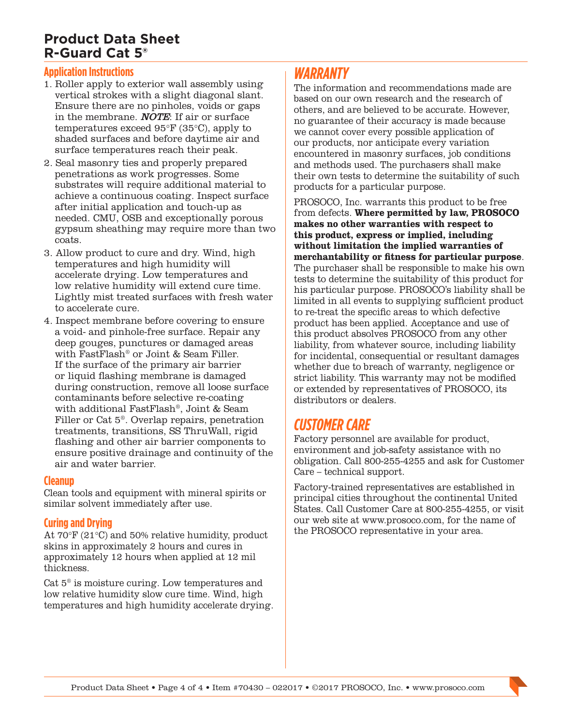## **Product Data Sheet R-Guard Cat 5®**

#### **Application Instructions**

- 1. Roller apply to exterior wall assembly using vertical strokes with a slight diagonal slant. Ensure there are no pinholes, voids or gaps in the membrane. NOTE: If air or surface temperatures exceed 95°F (35°C), apply to shaded surfaces and before daytime air and surface temperatures reach their peak.
- 2. Seal masonry ties and properly prepared penetrations as work progresses. Some substrates will require additional material to achieve a continuous coating. Inspect surface after initial application and touch-up as needed. CMU, OSB and exceptionally porous gypsum sheathing may require more than two coats.
- 3. Allow product to cure and dry. Wind, high temperatures and high humidity will accelerate drying. Low temperatures and low relative humidity will extend cure time. Lightly mist treated surfaces with fresh water to accelerate cure.
- 4. Inspect membrane before covering to ensure a void- and pinhole-free surface. Repair any deep gouges, punctures or damaged areas with FastFlash® or Joint & Seam Filler. If the surface of the primary air barrier or liquid flashing membrane is damaged during construction, remove all loose surface contaminants before selective re-coating with additional FastFlash®, Joint & Seam Filler or Cat 5®. Overlap repairs, penetration treatments, transitions, SS ThruWall, rigid flashing and other air barrier components to ensure positive drainage and continuity of the air and water barrier.

#### **Cleanup**

Clean tools and equipment with mineral spirits or similar solvent immediately after use.

#### **Curing and Drying**

At 70°F (21°C) and 50% relative humidity, product skins in approximately 2 hours and cures in approximately 12 hours when applied at 12 mil thickness.

Cat 5® is moisture curing. Low temperatures and low relative humidity slow cure time. Wind, high temperatures and high humidity accelerate drying.

## *WARRANTY*

The information and recommendations made are based on our own research and the research of others, and are believed to be accurate. However, no guarantee of their accuracy is made because we cannot cover every possible application of our products, nor anticipate every variation encountered in masonry surfaces, job conditions and methods used. The purchasers shall make their own tests to determine the suitability of such products for a particular purpose.

PROSOCO, Inc. warrants this product to be free from defects. **Where permitted by law, PROSOCO makes no other warranties with respect to this product, express or implied, including without limitation the implied warranties of merchantability or fitness for particular purpose**. The purchaser shall be responsible to make his own tests to determine the suitability of this product for his particular purpose. PROSOCO's liability shall be limited in all events to supplying sufficient product to re-treat the specific areas to which defective product has been applied. Acceptance and use of this product absolves PROSOCO from any other liability, from whatever source, including liability for incidental, consequential or resultant damages whether due to breach of warranty, negligence or strict liability. This warranty may not be modified or extended by representatives of PROSOCO, its distributors or dealers.

## *CUSTOMER CARE*

Factory personnel are available for product, environment and job-safety assistance with no obligation. Call 800-255-4255 and ask for Customer Care – technical support.

Factory-trained representatives are established in principal cities throughout the continental United States. Call Customer Care at 800-255-4255, or visit our web site at [www.prosoco.com](http://www.prosoco.com), for the name of the PROSOCO representative in your area.